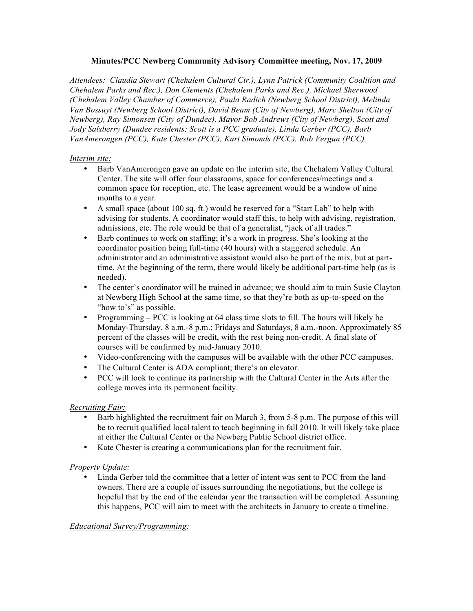### **Minutes/PCC Newberg Community Advisory Committee meeting, Nov. 17, 2009**

*Attendees: Claudia Stewart (Chehalem Cultural Ctr.), Lynn Patrick (Community Coalition and Chehalem Parks and Rec.), Don Clements (Chehalem Parks and Rec.), Michael Sherwood (Chehalem Valley Chamber of Commerce), Paula Radich (Newberg School District), Melinda Van Bossuyt (Newberg School District), David Beam (City of Newberg), Marc Shelton (City of Newberg), Ray Simonsen (City of Dundee), Mayor Bob Andrews (City of Newberg), Scott and Jody Salsberry (Dundee residents; Scott is a PCC graduate), Linda Gerber (PCC), Barb VanAmerongen (PCC), Kate Chester (PCC), Kurt Simonds (PCC), Rob Vergun (PCC).*

### *Interim site:*

- Barb VanAmerongen gave an update on the interim site, the Chehalem Valley Cultural Center. The site will offer four classrooms, space for conferences/meetings and a common space for reception, etc. The lease agreement would be a window of nine months to a year.
- A small space (about 100 sq. ft.) would be reserved for a "Start Lab" to help with advising for students. A coordinator would staff this, to help with advising, registration, admissions, etc. The role would be that of a generalist, "jack of all trades."
- Barb continues to work on staffing; it's a work in progress. She's looking at the coordinator position being full-time (40 hours) with a staggered schedule. An administrator and an administrative assistant would also be part of the mix, but at parttime. At the beginning of the term, there would likely be additional part-time help (as is needed).
- The center's coordinator will be trained in advance; we should aim to train Susie Clayton at Newberg High School at the same time, so that they're both as up-to-speed on the "how to's" as possible.
- Programming PCC is looking at 64 class time slots to fill. The hours will likely be Monday-Thursday, 8 a.m.-8 p.m.; Fridays and Saturdays, 8 a.m.-noon. Approximately 85 percent of the classes will be credit, with the rest being non-credit. A final slate of courses will be confirmed by mid-January 2010.
- Video-conferencing with the campuses will be available with the other PCC campuses.
- The Cultural Center is ADA compliant; there's an elevator.
- PCC will look to continue its partnership with the Cultural Center in the Arts after the college moves into its permanent facility.

# *Recruiting Fair:*

- Barb highlighted the recruitment fair on March 3, from 5-8 p.m. The purpose of this will be to recruit qualified local talent to teach beginning in fall 2010. It will likely take place at either the Cultural Center or the Newberg Public School district office.
- Kate Chester is creating a communications plan for the recruitment fair.

# *Property Update:*

• Linda Gerber told the committee that a letter of intent was sent to PCC from the land owners. There are a couple of issues surrounding the negotiations, but the college is hopeful that by the end of the calendar year the transaction will be completed. Assuming this happens, PCC will aim to meet with the architects in January to create a timeline.

# *Educational Survey/Programming:*